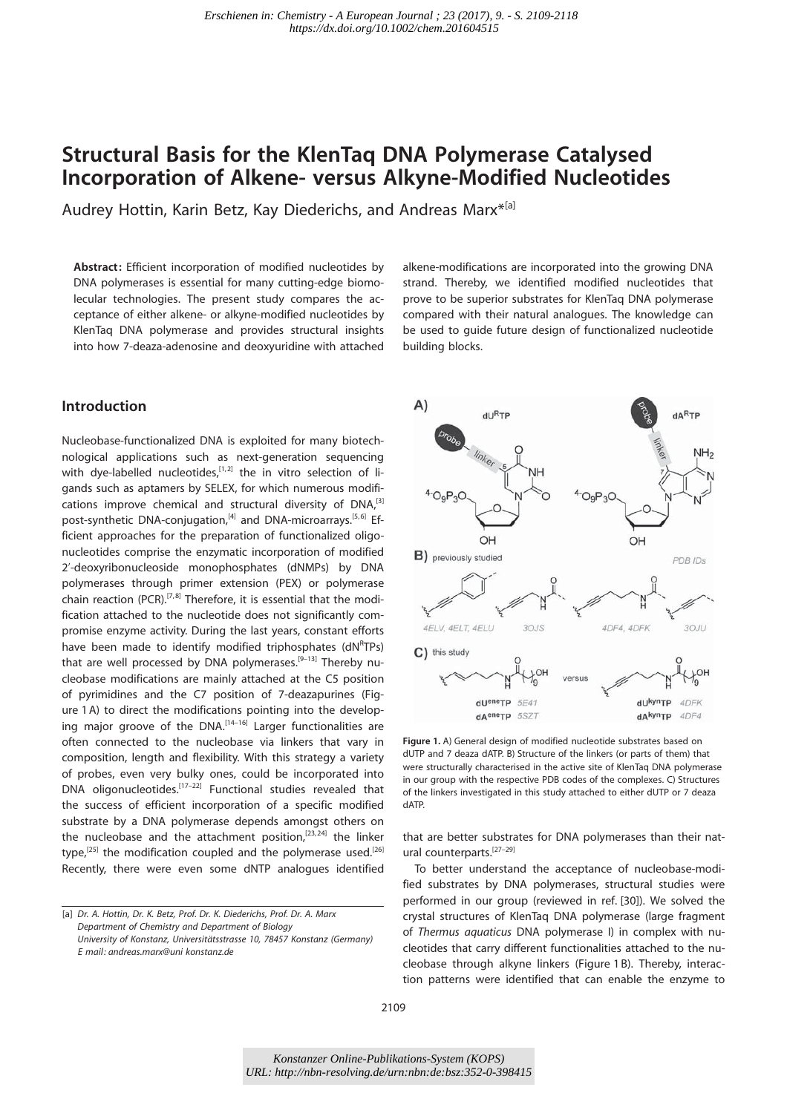# Structural Basis for the KlenTaq DNA Polymerase Catalysed Incorporation of Alkene- versus Alkyne-Modified Nucleotides

Audrey Hottin, Karin Betz, Kay Diederichs, and Andreas Marx\*<sup>[a]</sup>

Abstract: Efficient incorporation of modified nucleotides by DNA polymerases is essential for many cutting-edge biomolecular technologies. The present study compares the acceptance of either alkene- or alkyne-modified nucleotides by KlenTaq DNA polymerase and provides structural insights into how 7-deaza-adenosine and deoxyuridine with attached

# Introduction

Nucleobase-functionalized DNA is exploited for many biotechnological applications such as next-generation sequencing with dye-labelled nucleotides, $[1, 2]$  the in vitro selection of ligands such as aptamers by SELEX, for which numerous modifications improve chemical and structural diversity of DNA,<sup>[3]</sup> post-synthetic DNA-conjugation,<sup>[4]</sup> and DNA-microarrays.<sup>[5,6]</sup> Efficient approaches for the preparation of functionalized oligonucleotides comprise the enzymatic incorporation of modified 2'-deoxyribonucleoside monophosphates (dNMPs) by DNA polymerases through primer extension (PEX) or polymerase chain reaction (PCR).<sup>[7,8]</sup> Therefore, it is essential that the modification attached to the nucleotide does not significantly compromise enzyme activity. During the last years, constant efforts have been made to identify modified triphosphates (dNRTPs) that are well processed by DNA polymerases.<sup>[9-13]</sup> Thereby nucleobase modifications are mainly attached at the C5 position of pyrimidines and the C7 position of 7-deazapurines (Figure 1 A) to direct the modifications pointing into the developing major groove of the DNA.<sup>[14-16]</sup> Larger functionalities are often connected to the nucleobase via linkers that vary in composition, length and flexibility. With this strategy a variety of probes, even very bulky ones, could be incorporated into DNA oligonucleotides.[17–22] Functional studies revealed that the success of efficient incorporation of a specific modified substrate by a DNA polymerase depends amongst others on the nucleobase and the attachment position, $[23, 24]$  the linker type,<sup>[25]</sup> the modification coupled and the polymerase used.<sup>[26]</sup> Recently, there were even some dNTP analogues identified alkene-modifications are incorporated into the growing DNA strand. Thereby, we identified modified nucleotides that prove to be superior substrates for KlenTaq DNA polymerase compared with their natural analogues. The knowledge can be used to guide future design of functionalized nucleotide building blocks.



Figure 1. A) General design of modified nucleotide substrates based on dUTP and 7 deaza dATP. B) Structure of the linkers (or parts of them) that were structurally characterised in the active site of KlenTaq DNA polymerase in our group with the respective PDB codes of the complexes. C) Structures of the linkers investigated in this study attached to either dUTP or 7 deaza dATP.

that are better substrates for DNA polymerases than their natural counterparts.[27–29]

To better understand the acceptance of nucleobase-modified substrates by DNA polymerases, structural studies were performed in our group (reviewed in ref. [30]). We solved the crystal structures of KlenTaq DNA polymerase (large fragment of Thermus aquaticus DNA polymerase I) in complex with nucleotides that carry different functionalities attached to the nucleobase through alkyne linkers (Figure 1 B). Thereby, interaction patterns were identified that can enable the enzyme to

<sup>[</sup>a] Dr. A. Hottin, Dr. K. Betz, Prof. Dr. K. Diederichs, Prof. Dr. A. Marx Department of Chemistry and Department of Biology University of Konstanz, Universitätsstrasse 10, 78457 Konstanz (Germany) E mail: andreas.marx@uni konstanz.de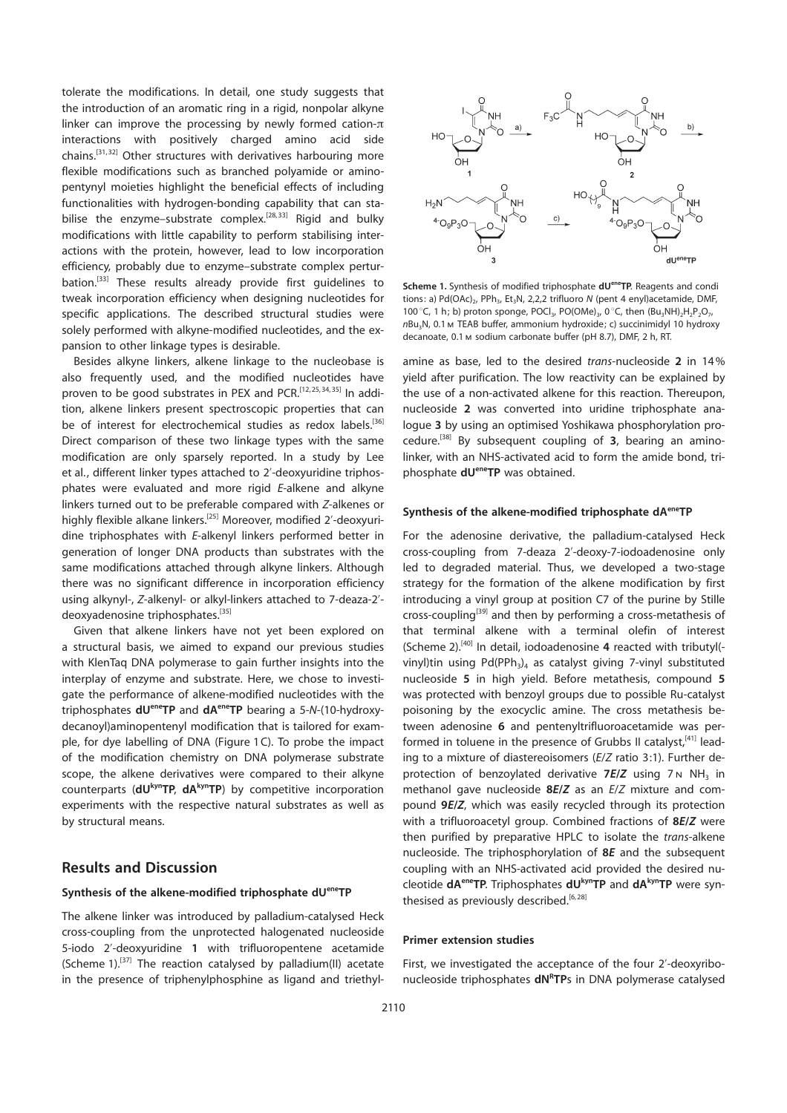tolerate the modifications. In detail, one study suggests that the introduction of an aromatic ring in a rigid, nonpolar alkyne linker can improve the processing by newly formed cation- $\pi$ interactions with positively charged amino acid side chains.[31, 32] Other structures with derivatives harbouring more flexible modifications such as branched polyamide or aminopentynyl moieties highlight the beneficial effects of including functionalities with hydrogen-bonding capability that can stabilise the enzyme–substrate complex.<sup>[28,33]</sup> Rigid and bulky modifications with little capability to perform stabilising interactions with the protein, however, lead to low incorporation efficiency, probably due to enzyme–substrate complex perturbation.<sup>[33]</sup> These results already provide first guidelines to tweak incorporation efficiency when designing nucleotides for specific applications. The described structural studies were solely performed with alkyne-modified nucleotides, and the expansion to other linkage types is desirable.

Besides alkyne linkers, alkene linkage to the nucleobase is also frequently used, and the modified nucleotides have proven to be good substrates in PEX and PCR.<sup>[12,25,34,35]</sup> In addition, alkene linkers present spectroscopic properties that can be of interest for electrochemical studies as redox labels.<sup>[36]</sup> Direct comparison of these two linkage types with the same modification are only sparsely reported. In a study by Lee et al., different linker types attached to 2'-deoxyuridine triphosphates were evaluated and more rigid E-alkene and alkyne linkers turned out to be preferable compared with Z-alkenes or highly flexible alkane linkers.<sup>[25]</sup> Moreover, modified 2'-deoxyuridine triphosphates with E-alkenyl linkers performed better in generation of longer DNA products than substrates with the same modifications attached through alkyne linkers. Although there was no significant difference in incorporation efficiency using alkynyl-, Z-alkenyl- or alkyl-linkers attached to 7-deaza-2' deoxyadenosine triphosphates.<sup>[35]</sup>

Given that alkene linkers have not yet been explored on a structural basis, we aimed to expand our previous studies with KlenTaq DNA polymerase to gain further insights into the interplay of enzyme and substrate. Here, we chose to investigate the performance of alkene-modified nucleotides with the triphosphates dU<sup>ene</sup>TP and dA<sup>ene</sup>TP bearing a 5-N-(10-hydroxydecanoyl)aminopentenyl modification that is tailored for example, for dye labelling of DNA (Figure 1C). To probe the impact of the modification chemistry on DNA polymerase substrate scope, the alkene derivatives were compared to their alkyne counterparts ( $dU^{kyn}TP$ ,  $dA^{kyn}TP$ ) by competitive incorporation experiments with the respective natural substrates as well as by structural means.

# Results and Discussion

## Synthesis of the alkene-modified triphosphate dUeneTP

The alkene linker was introduced by palladium-catalysed Heck cross-coupling from the unprotected halogenated nucleoside 5-iodo 2'-deoxyuridine 1 with trifluoropentene acetamide (Scheme 1).<sup>[37]</sup> The reaction catalysed by palladium(II) acetate in the presence of triphenylphosphine as ligand and triethyl-



Scheme 1. Synthesis of modified triphosphate dU<sup>ene</sup>TP. Reagents and condi tions: a) Pd(OAc)<sub>2</sub>, PPh<sub>3</sub>, Et<sub>3</sub>N, 2,2,2 trifluoro N (pent 4 enyl)acetamide, DMF, 100 °C, 1 h; b) proton sponge, POCl<sub>3</sub>, PO(OMe)<sub>3</sub>, 0 °C, then  $(Bu_3NH)_2H_2P_2O_7$ , nBu3N, 0.1m TEAB buffer, ammonium hydroxide; c) succinimidyl 10 hydroxy decanoate, 0.1m sodium carbonate buffer (pH 8.7), DMF, 2 h, RT.

amine as base, led to the desired trans-nucleoside 2 in 14% yield after purification. The low reactivity can be explained by the use of a non-activated alkene for this reaction. Thereupon, nucleoside 2 was converted into uridine triphosphate analogue 3 by using an optimised Yoshikawa phosphorylation procedure.<sup>[38]</sup> By subsequent coupling of  $3$ , bearing an aminolinker, with an NHS-activated acid to form the amide bond, triphosphate dU<sup>ene</sup>TP was obtained.

## Synthesis of the alkene-modified triphosphate dA<sup>ene</sup>TP

For the adenosine derivative, the palladium-catalysed Heck cross-coupling from 7-deaza 2'-deoxy-7-iodoadenosine only led to degraded material. Thus, we developed a two-stage strategy for the formation of the alkene modification by first introducing a vinyl group at position C7 of the purine by Stille cross-coupling<sup>[39]</sup> and then by performing a cross-metathesis of that terminal alkene with a terminal olefin of interest (Scheme 2).<sup>[40]</sup> In detail, iodoadenosine 4 reacted with tributyl(vinyl)tin using  $Pd(PPh_3)_4$  as catalyst giving 7-vinyl substituted nucleoside 5 in high yield. Before metathesis, compound 5 was protected with benzoyl groups due to possible Ru-catalyst poisoning by the exocyclic amine. The cross metathesis between adenosine 6 and pentenyltrifluoroacetamide was performed in toluene in the presence of Grubbs II catalyst, $[41]$  leading to a mixture of diastereoisomers (E/Z ratio 3:1). Further deprotection of benzoylated derivative  $7E/Z$  using  $7N NH_3$  in methanol gave nucleoside 8E/Z as an E/Z mixture and compound 9E/Z, which was easily recycled through its protection with a trifluoroacetyl group. Combined fractions of 8E/Z were then purified by preparative HPLC to isolate the trans-alkene nucleoside. The triphosphorylation of 8E and the subsequent coupling with an NHS-activated acid provided the desired nucleotide dA<sup>ene</sup>TP. Triphosphates dUkynTP and dAkynTP were synthesised as previously described.<sup>[6,28]</sup>

#### Primer extension studies

First, we investigated the acceptance of the four 2'-deoxyribonucleoside triphosphates dNRTPs in DNA polymerase catalysed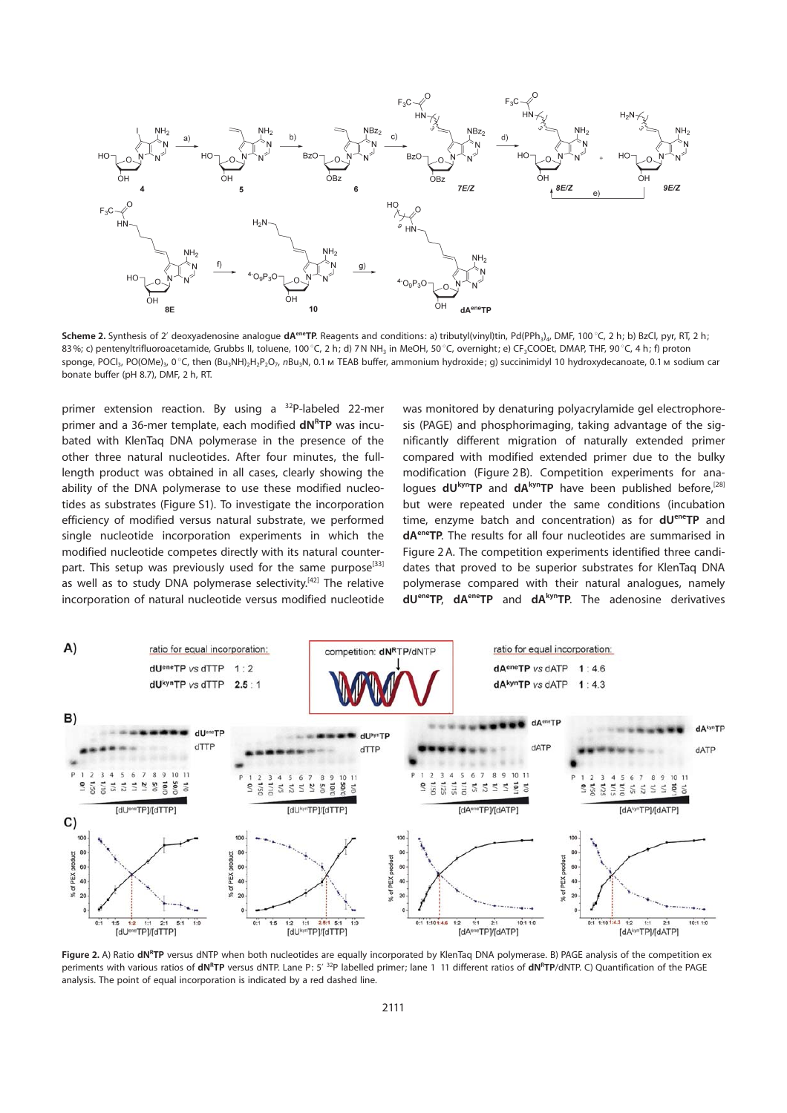

Scheme 2. Synthesis of 2' deoxyadenosine analogue dA<sup>ene</sup>TP. Reagents and conditions: a) tributyl(vinyl)tin, Pd(PPh<sub>3</sub>)<sub>4</sub>, DMF, 100 °C, 2 h; b) BzCl, pyr, RT, 2 h; 83%; c) pentenyltrifluoroacetamide, Grubbs II, toluene, 100 °C, 2 h; d) 7N NH<sub>3</sub> in MeOH, 50 °C, overnight; e) CF<sub>3</sub>COOEt, DMAP, THF, 90 °C, 4 h; f) proton sponge, POCl<sub>3</sub>, PO(OMe)<sub>3</sub>, 0 °C, then (Bu<sub>3</sub>NH)<sub>2</sub>H<sub>2</sub>P<sub>2</sub>O<sub>7</sub>, nBu<sub>3</sub>N, 0.1 m TEAB buffer, ammonium hydroxide; g) succinimidyl 10 hydroxydecanoate, 0.1 m sodium car bonate buffer (pH 8.7), DMF, 2 h, RT.

primer extension reaction. By using a 32P-labeled 22-mer primer and a 36-mer template, each modified **dNRTP** was incubated with KlenTaq DNA polymerase in the presence of the other three natural nucleotides. After four minutes, the fulllength product was obtained in all cases, clearly showing the ability of the DNA polymerase to use these modified nucleotides as substrates (Figure S1). To investigate the incorporation efficiency of modified versus natural substrate, we performed single nucleotide incorporation experiments in which the modified nucleotide competes directly with its natural counterpart. This setup was previously used for the same purpose<sup>[33]</sup> as well as to study DNA polymerase selectivity.<sup>[42]</sup> The relative incorporation of natural nucleotide versus modified nucleotide

was monitored by denaturing polyacrylamide gel electrophoresis (PAGE) and phosphorimaging, taking advantage of the significantly different migration of naturally extended primer compared with modified extended primer due to the bulky modification (Figure 2 B). Competition experiments for analoques  $dU^{kyn}TP$  and  $dA^{kyn}TP$  have been published before,<sup>[28]</sup> but were repeated under the same conditions (incubation time, enzyme batch and concentration) as for  $dU^{ener}TP$  and dAeneTP. The results for all four nucleotides are summarised in Figure 2 A. The competition experiments identified three candidates that proved to be superior substrates for KlenTaq DNA polymerase compared with their natural analogues, namely dU<sup>ene</sup>TP, dA<sup>ene</sup>TP and dA<sup>kyn</sup>TP. The adenosine derivatives



Figure 2. A) Ratio dN<sup>e</sup>TP versus dNTP when both nucleotides are equally incorporated by KlenTaq DNA polymerase. B) PAGE analysis of the competition ex periments with various ratios of dN<sup>R</sup>TP versus dNTP. Lane P: 5'<sup>32</sup>P labelled primer; lane 1 11 different ratios of dN<sup>R</sup>TP/dNTP. C) Quantification of the PAGE analysis. The point of equal incorporation is indicated by a red dashed line.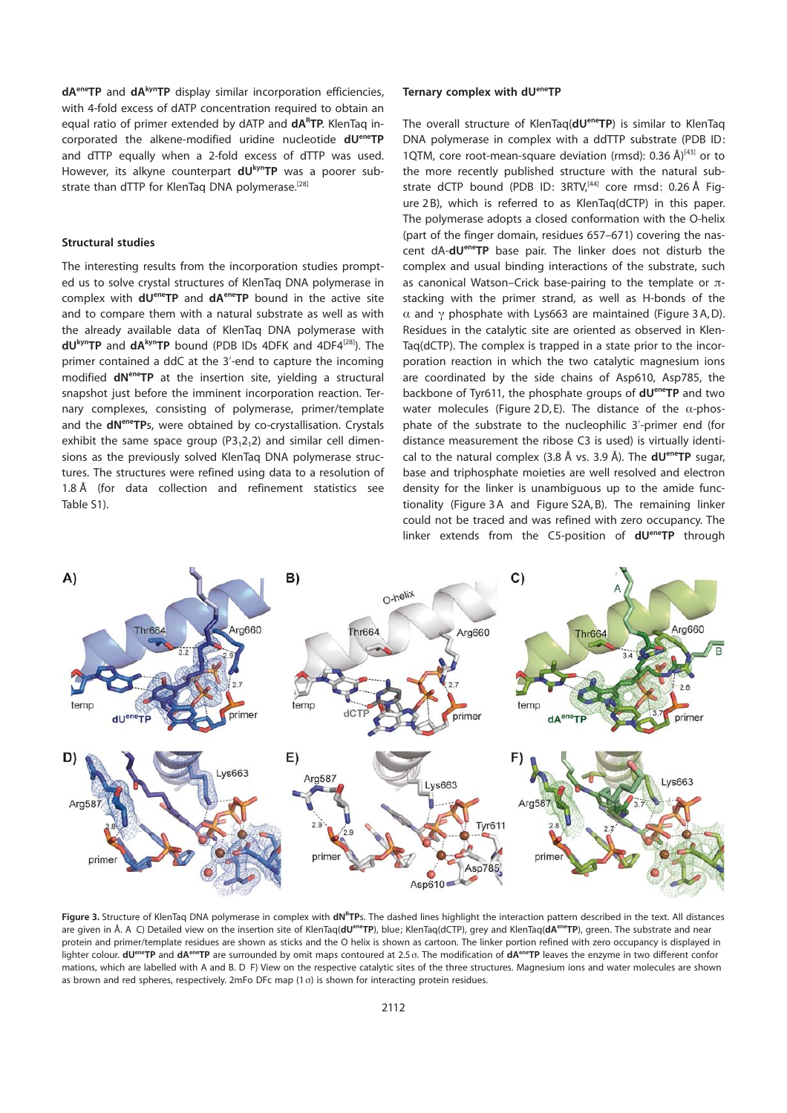$dA^{ene}TP$  and  $dA^{kyn}TP$  display similar incorporation efficiencies, with 4-fold excess of dATP concentration required to obtain an equal ratio of primer extended by dATP and dARTP. KlenTaq incorporated the alkene-modified uridine nucleotide dUeneTP and dTTP equally when a 2-fold excess of dTTP was used. However, its alkyne counterpart **dU**<sub>kyn</sub>TP was a poorer substrate than dTTP for KlenTaq DNA polymerase.<sup>[28]</sup>

#### Structural studies

The interesting results from the incorporation studies prompted us to solve crystal structures of KlenTaq DNA polymerase in complex with  $dU^{ene}TP$  and  $dA^{ene}TP$  bound in the active site and to compare them with a natural substrate as well as with the already available data of KlenTaq DNA polymerase with  $dU^{kyn}TP$  and  $dA^{kyn}TP$  bound (PDB IDs 4DFK and 4DF4<sup>[28]</sup>). The primer contained a ddC at the 3'-end to capture the incoming modified dN<sup>ene</sup>TP at the insertion site, yielding a structural snapshot just before the imminent incorporation reaction. Ternary complexes, consisting of polymerase, primer/template and the dN<sup>ene</sup>TPs, were obtained by co-crystallisation. Crystals exhibit the same space group  $(P3,2,2)$  and similar cell dimensions as the previously solved KlenTaq DNA polymerase structures. The structures were refined using data to a resolution of  $1.8 \text{ Å}$  (for data collection and refinement statistics see Table S1).

#### Ternary complex with dUeneTP

The overall structure of KlenTaq(dU<sup>ene</sup>TP) is similar to KlenTaq DNA polymerase in complex with a ddTTP substrate (PDB ID: 1QTM, core root-mean-square deviation (rmsd): 0.36  $A$ <sup>[43]</sup> or to the more recently published structure with the natural substrate dCTP bound (PDB ID: 3RTV,<sup>[44]</sup> core rmsd: 0.26 Å Figure 2 B), which is referred to as KlenTaq(dCTP) in this paper. The polymerase adopts a closed conformation with the O-helix (part of the finger domain, residues 657–671) covering the nascent dA-dU<sup>ene</sup>TP base pair. The linker does not disturb the complex and usual binding interactions of the substrate, such as canonical Watson–Crick base-pairing to the template or  $\pi$ stacking with the primer strand, as well as H-bonds of the  $\alpha$  and  $\gamma$  phosphate with Lys663 are maintained (Figure 3 A, D). Residues in the catalytic site are oriented as observed in Klen-Taq(dCTP). The complex is trapped in a state prior to the incorporation reaction in which the two catalytic magnesium ions are coordinated by the side chains of Asp610, Asp785, the backbone of Tyr611, the phosphate groups of **dU<sup>ene</sup>TP** and two water molecules (Figure 2D, E). The distance of the  $\alpha$ -phosphate of the substrate to the nucleophilic 3'-primer end (for distance measurement the ribose C3 is used) is virtually identical to the natural complex (3.8 Å vs. 3.9 Å). The **dU<sup>ene</sup>TP** sugar, base and triphosphate moieties are well resolved and electron density for the linker is unambiguous up to the amide functionality (Figure 3A and Figure S2A, B). The remaining linker could not be traced and was refined with zero occupancy. The linker extends from the C5-position of dU<sup>ene</sup>TP through



Figure 3. Structure of KlenTaq DNA polymerase in complex with dN<sup>R</sup>TPs. The dashed lines highlight the interaction pattern described in the text. All distances are given in Å. A C) Detailed view on the insertion site of KlenTaq(**dU<sup>ene</sup>TP**), blue; KlenTaq(dCTP), grey and KlenTaq(d**A<sup>ene</sup>TP**), green. The substrate and near protein and primer/template residues are shown as sticks and the O helix is shown as cartoon. The linker portion refined with zero occupancy is displayed in lighter colour. dU<sup>ene</sup>TP and dA<sup>ene</sup>TP are surrounded by omit maps contoured at 2.5 o. The modification of dA<sup>ene</sup>TP leaves the enzyme in two different confor mations, which are labelled with A and B. D F) View on the respective catalytic sites of the three structures. Magnesium ions and water molecules are shown as brown and red spheres, respectively. 2mFo DFc map  $(1\sigma)$  is shown for interacting protein residues.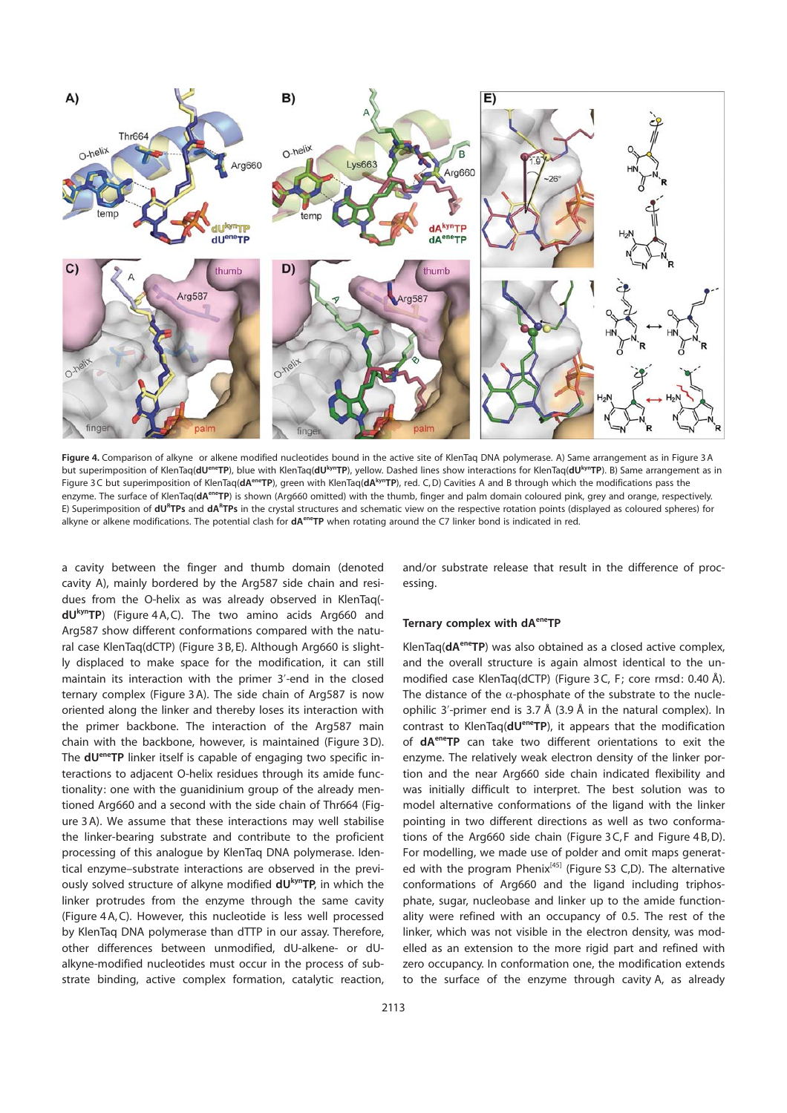

Figure 4. Comparison of alkyne or alkene modified nucleotides bound in the active site of KlenTaq DNA polymerase. A) Same arrangement as in Figure 3A but superimposition of KlenTaq(dU<sup>ene</sup>TP), blue with KlenTaq(dU<sup>kyn</sup>TP), yellow. Dashed lines show interactions for KlenTaq(dU<sup>kyn</sup>TP). B) Same arrangement as in Figure 3C but superimposition of KlenTaq(dA<sup>ene</sup>TP), green with KlenTaq(dA<sup>kyn</sup>TP), red. C,D) Cavities A and B through which the modifications pass the enzyme. The surface of KlenTaq(dA<sup>ene</sup>TP) is shown (Arg660 omitted) with the thumb, finger and palm domain coloured pink, grey and orange, respectively. E) Superimposition of dU<sup>R</sup>TPs and dA<sup>R</sup>TPs in the crystal structures and schematic view on the respective rotation points (displayed as coloured spheres) for alkyne or alkene modifications. The potential clash for  $dA^{ene}TP$  when rotating around the C7 linker bond is indicated in red.

a cavity between the finger and thumb domain (denoted cavity A), mainly bordered by the Arg587 side chain and residues from the O-helix as was already observed in KlenTaq(  $dU^{kyn}TP$ ) (Figure 4A, C). The two amino acids Arg660 and Arg587 show different conformations compared with the natural case KlenTaq(dCTP) (Figure 3 B, E). Although Arg660 is slightly displaced to make space for the modification, it can still maintain its interaction with the primer 3'-end in the closed ternary complex (Figure 3 A). The side chain of Arg587 is now oriented along the linker and thereby loses its interaction with the primer backbone. The interaction of the Arg587 main chain with the backbone, however, is maintained (Figure 3D). The dUeneTP linker itself is capable of engaging two specific interactions to adjacent O-helix residues through its amide functionality: one with the guanidinium group of the already mentioned Arg660 and a second with the side chain of Thr664 (Figure 3 A). We assume that these interactions may well stabilise the linker-bearing substrate and contribute to the proficient processing of this analogue by KlenTaq DNA polymerase. Identical enzyme–substrate interactions are observed in the previously solved structure of alkyne modified dUkynTP, in which the linker protrudes from the enzyme through the same cavity (Figure 4 A, C). However, this nucleotide is less well processed by KlenTaq DNA polymerase than dTTP in our assay. Therefore, other differences between unmodified, dU-alkene- or dUalkyne-modified nucleotides must occur in the process of substrate binding, active complex formation, catalytic reaction,

and/or substrate release that result in the difference of processing.

#### Ternary complex with dA<sup>ene</sup>TP

KlenTaq(dA<sup>ene</sup>TP) was also obtained as a closed active complex, and the overall structure is again almost identical to the unmodified case KlenTaq(dCTP) (Figure 3C, F; core rmsd: 0.40 Å). The distance of the  $\alpha$ -phosphate of the substrate to the nucleophilic 3'-primer end is 3.7 Å (3.9 Å in the natural complex). In contrast to KlenTaq(dU<sup>ene</sup>TP), it appears that the modification of dAeneTP can take two different orientations to exit the enzyme. The relatively weak electron density of the linker portion and the near Arg660 side chain indicated flexibility and was initially difficult to interpret. The best solution was to model alternative conformations of the ligand with the linker pointing in two different directions as well as two conformations of the Arg660 side chain (Figure 3 C, F and Figure 4 B,D). For modelling, we made use of polder and omit maps generated with the program Phenix<sup>[45]</sup> (Figure S3 C,D). The alternative conformations of Arg660 and the ligand including triphosphate, sugar, nucleobase and linker up to the amide functionality were refined with an occupancy of 0.5. The rest of the linker, which was not visible in the electron density, was modelled as an extension to the more rigid part and refined with zero occupancy. In conformation one, the modification extends to the surface of the enzyme through cavity A, as already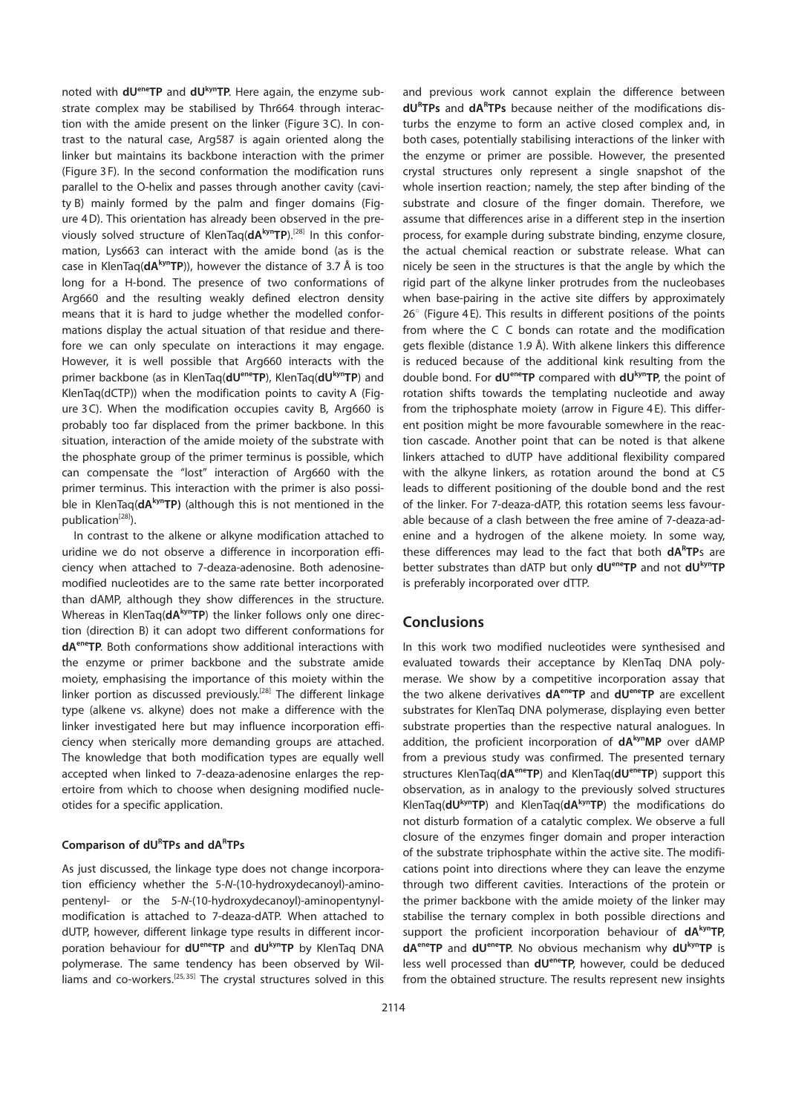noted with  $dU^{en}TP$  and  $dU^{kyn}TP$ . Here again, the enzyme substrate complex may be stabilised by Thr664 through interaction with the amide present on the linker (Figure 3 C). In contrast to the natural case, Arg587 is again oriented along the linker but maintains its backbone interaction with the primer (Figure 3 F). In the second conformation the modification runs parallel to the O-helix and passes through another cavity (cavity B) mainly formed by the palm and finger domains (Figure 4D). This orientation has already been observed in the previously solved structure of KlenTaq(dAkynTP).<sup>[28]</sup> In this conformation, Lys663 can interact with the amide bond (as is the case in KlenTaq( $dA^{kyn}TP$ )), however the distance of 3.7 Å is too long for a H-bond. The presence of two conformations of Arg660 and the resulting weakly defined electron density means that it is hard to judge whether the modelled conformations display the actual situation of that residue and therefore we can only speculate on interactions it may engage. However, it is well possible that Arg660 interacts with the primer backbone (as in KlenTaq(dU<sup>ene</sup>TP), KlenTaq(dU<sup>kyn</sup>TP) and KlenTaq(dCTP)) when the modification points to cavity A (Figure 3 C). When the modification occupies cavity B, Arg660 is probably too far displaced from the primer backbone. In this situation, interaction of the amide moiety of the substrate with the phosphate group of the primer terminus is possible, which can compensate the "lost" interaction of Arg660 with the primer terminus. This interaction with the primer is also possible in KlenTaq( $dA^{kyn}TP$ ) (although this is not mentioned in the publication<sup>[28]</sup>).

In contrast to the alkene or alkyne modification attached to uridine we do not observe a difference in incorporation efficiency when attached to 7-deaza-adenosine. Both adenosinemodified nucleotides are to the same rate better incorporated than dAMP, although they show differences in the structure. Whereas in KlenTaq(dA<sup>kyn</sup>TP) the linker follows only one direction (direction B) it can adopt two different conformations for dAeneTP. Both conformations show additional interactions with the enzyme or primer backbone and the substrate amide moiety, emphasising the importance of this moiety within the linker portion as discussed previously.<sup>[28]</sup> The different linkage type (alkene vs. alkyne) does not make a difference with the linker investigated here but may influence incorporation efficiency when sterically more demanding groups are attached. The knowledge that both modification types are equally well accepted when linked to 7-deaza-adenosine enlarges the repertoire from which to choose when designing modified nucleotides for a specific application.

## Comparison of dURTPs and dARTPs

As just discussed, the linkage type does not change incorporation efficiency whether the 5-N-(10-hydroxydecanoyl)-aminopentenyl- or the 5-N-(10-hydroxydecanoyl)-aminopentynylmodification is attached to 7-deaza-dATP. When attached to dUTP, however, different linkage type results in different incorporation behaviour for dUeneTP and dUkynTP by KlenTaq DNA polymerase. The same tendency has been observed by Williams and co-workers.<sup>[25,35]</sup> The crystal structures solved in this and previous work cannot explain the difference between dURTPs and dARTPs because neither of the modifications disturbs the enzyme to form an active closed complex and, in both cases, potentially stabilising interactions of the linker with the enzyme or primer are possible. However, the presented crystal structures only represent a single snapshot of the whole insertion reaction; namely, the step after binding of the substrate and closure of the finger domain. Therefore, we assume that differences arise in a different step in the insertion process, for example during substrate binding, enzyme closure, the actual chemical reaction or substrate release. What can nicely be seen in the structures is that the angle by which the rigid part of the alkyne linker protrudes from the nucleobases when base-pairing in the active site differs by approximately  $26^{\circ}$  (Figure 4 E). This results in different positions of the points from where the C C bonds can rotate and the modification gets flexible (distance 1.9 Å). With alkene linkers this difference is reduced because of the additional kink resulting from the double bond. For dU<sup>ene</sup>TP compared with dU<sup>kyn</sup>TP, the point of rotation shifts towards the templating nucleotide and away from the triphosphate moiety (arrow in Figure 4 E). This different position might be more favourable somewhere in the reaction cascade. Another point that can be noted is that alkene linkers attached to dUTP have additional flexibility compared with the alkyne linkers, as rotation around the bond at C5 leads to different positioning of the double bond and the rest of the linker. For 7-deaza-dATP, this rotation seems less favourable because of a clash between the free amine of 7-deaza-adenine and a hydrogen of the alkene moiety. In some way, these differences may lead to the fact that both **dA<sup>R</sup>TP**s are better substrates than dATP but only dU<sup>ene</sup>TP and not dU<sup>kyn</sup>TP is preferably incorporated over dTTP.

# **Conclusions**

In this work two modified nucleotides were synthesised and evaluated towards their acceptance by KlenTaq DNA polymerase. We show by a competitive incorporation assay that the two alkene derivatives  $dA^{ene}TP$  and  $dU^{ene}TP$  are excellent substrates for KlenTaq DNA polymerase, displaying even better substrate properties than the respective natural analogues. In addition, the proficient incorporation of  $dA^{kyn}MP$  over  $dAMP$ from a previous study was confirmed. The presented ternary structures KlenTaq(dA<sup>ene</sup>TP) and KlenTaq(dU<sup>ene</sup>TP) support this observation, as in analogy to the previously solved structures KlenTaq( $dU^{kyn}TP$ ) and KlenTaq( $dA^{kyn}TP$ ) the modifications do not disturb formation of a catalytic complex. We observe a full closure of the enzymes finger domain and proper interaction of the substrate triphosphate within the active site. The modifications point into directions where they can leave the enzyme through two different cavities. Interactions of the protein or the primer backbone with the amide moiety of the linker may stabilise the ternary complex in both possible directions and support the proficient incorporation behaviour of dAkynTP, dA<sup>ene</sup>TP and dU<sup>ene</sup>TP. No obvious mechanism why dU<sup>kyn</sup>TP is less well processed than dU<sup>ene</sup>TP, however, could be deduced from the obtained structure. The results represent new insights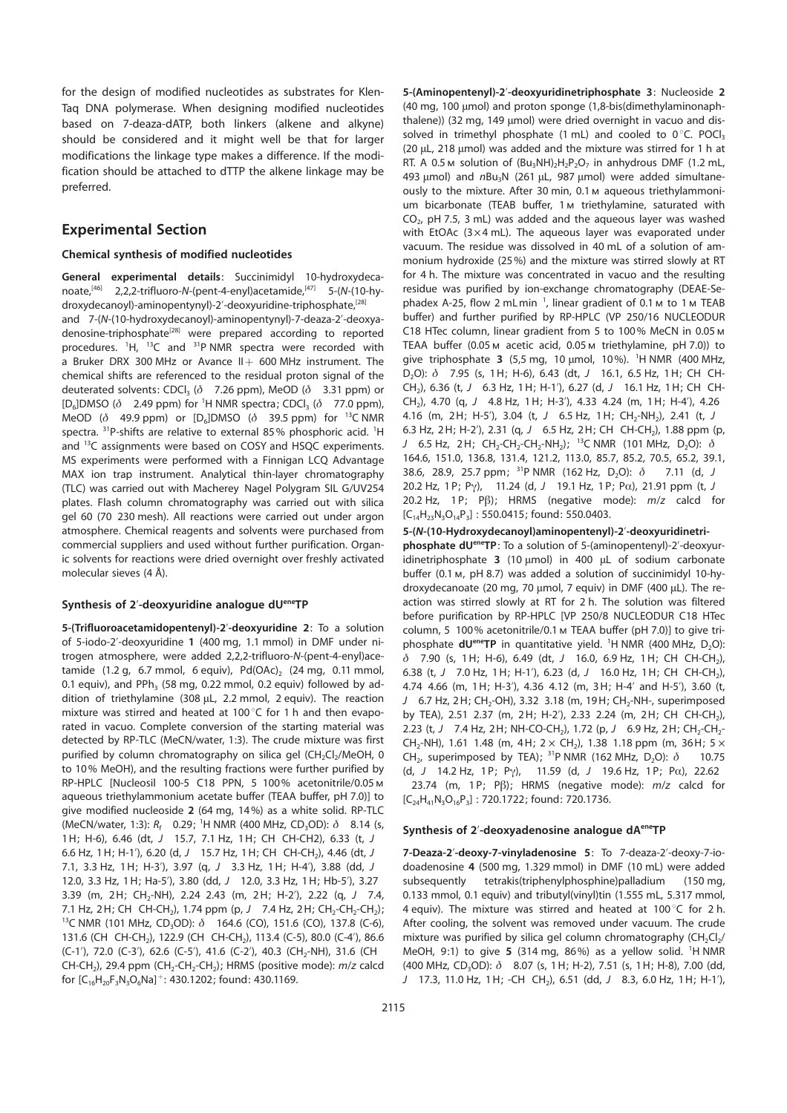for the design of modified nucleotides as substrates for Klen-Taq DNA polymerase. When designing modified nucleotides based on 7-deaza-dATP, both linkers (alkene and alkyne) should be considered and it might well be that for larger modifications the linkage type makes a difference. If the modification should be attached to dTTP the alkene linkage may be preferred.

# Experimental Section

#### Chemical synthesis of modified nucleotides

**General experimental details:** Succinimidyl 10-hydroxydeca-<br>noate,<sup>[46]</sup> 2,2,2-trifluoro-*N*-(pent-4-enyl)acetamide,<sup>[47]</sup> 5-(*N*-(10-hv-2,2,2-trifluoro-N-(pent-4-enyl)acetamide,<sup>[47]</sup> 5-(N-(10-hydroxydecanoyl)-aminopentynyl)-2'-deoxyuridine-triphosphate,<sup>[28]</sup>

and 7-(N-(10-hydroxydecanoyl)-aminopentynyl)-7-deaza-2'-deoxyadenosine-triphosphate<sup>[28]</sup> were prepared according to reported procedures. <sup>1</sup>H, <sup>13</sup>C and <sup>31</sup>P NMR spectra were recorded with a Bruker DRX 300 MHz or Avance  $II + 600$  MHz instrument. The chemical shifts are referenced to the residual proton signal of the deuterated solvents: CDCl<sub>3</sub> ( $\delta$  7.26 ppm), MeOD ( $\delta$  3.31 ppm) or [D<sub>6</sub>]DMSO ( $\delta$  2.49 ppm) for <sup>1</sup>H NMR spectra; CDCl<sub>3</sub> ( $\delta$  77.0 ppm), MeOD ( $\delta$  49.9 ppm) or [D<sub>6</sub>]DMSO ( $\delta$  39.5 ppm) for <sup>13</sup>C NMR spectra. <sup>31</sup>P-shifts are relative to external 85% phosphoric acid. <sup>1</sup>H and <sup>13</sup>C assignments were based on COSY and HSQC experiments. MS experiments were performed with a Finnigan LCQ Advantage MAX ion trap instrument. Analytical thin-layer chromatography (TLC) was carried out with Macherey Nagel Polygram SIL G/UV254 plates. Flash column chromatography was carried out with silica gel 60 (70 230 mesh). All reactions were carried out under argon atmosphere. Chemical reagents and solvents were purchased from commercial suppliers and used without further purification. Organic solvents for reactions were dried overnight over freshly activated molecular sieves (4 Å).

### Synthesis of 2'-deoxyuridine analogue dUeneTP

5-(Trifluoroacetamidopentenyl)-2'-deoxyuridine 2: To a solution of 5-iodo-2'-deoxyuridine 1 (400 mg, 1.1 mmol) in DMF under nitrogen atmosphere, were added 2,2,2-trifluoro-N-(pent-4-enyl)acetamide  $(1.2 g, 6.7 mmol, 6 equiv), Pd(OAc), (24 mg, 0.11 mmol,$ 0.1 equiv), and PPh<sub>3</sub> (58 mg, 0.22 mmol, 0.2 equiv) followed by addition of triethylamine (308  $\mu$ L, 2.2 mmol, 2 equiv). The reaction mixture was stirred and heated at 100 $^{\circ}$ C for 1 h and then evaporated in vacuo. Complete conversion of the starting material was detected by RP-TLC (MeCN/water, 1:3). The crude mixture was first purified by column chromatography on silica gel (CH<sub>2</sub>Cl<sub>2</sub>/MeOH, 0 to 10% MeOH), and the resulting fractions were further purified by RP-HPLC [Nucleosil 100-5 C18 PPN, 5 100% acetonitrile/0.05m aqueous triethylammonium acetate buffer (TEAA buffer, pH 7.0)] to give modified nucleoside 2 (64 mg, 14%) as a white solid. RP-TLC (MeCN/water, 1:3):  $R_f$  0.29; <sup>1</sup>H NMR (400 MHz, CD<sub>3</sub>OD):  $\delta$  8.14 (s, 1H; H-6), 6.46 (dt, J 15.7, 7.1 Hz, 1H; CH CH-CH2), 6.33 (t, J 6.6 Hz, 1 H; H-1'), 6.20 (d, J 15.7 Hz, 1 H; CH CH-CH<sub>2</sub>), 4.46 (dt, J 7.1, 3.3 Hz, 1H; H-3'), 3.97 (q, J 3.3 Hz, 1H; H-4'), 3.88 (dd, J 12.0, 3.3 Hz, 1H; Ha-5'), 3.80 (dd, J 12.0, 3.3 Hz, 1H; Hb-5'), 3.27 3.39 (m, 2H; CH<sub>2</sub>-NH), 2.24 2.43 (m, 2H; H-2'), 2.22 (q, J 7.4, 7.1 Hz, 2H; CH CH-CH<sub>2</sub>), 1.74 ppm (p, J 7.4 Hz, 2H; CH<sub>2</sub>-CH<sub>2</sub>-CH<sub>2</sub>); <sup>13</sup>C NMR (101 MHz, CD<sub>3</sub>OD):  $\delta$  164.6 (CO), 151.6 (CO), 137.8 (C-6), 131.6 (CH CH-CH<sub>2</sub>), 122.9 (CH CH-CH<sub>2</sub>), 113.4 (C-5), 80.0 (C-4'), 86.6 (C-1'), 72.0 (C-3'), 62.6 (C-5'), 41.6 (C-2'), 40.3 (CH<sub>2</sub>-NH), 31.6 (CH CH-CH<sub>2</sub>), 29.4 ppm (CH<sub>2</sub>-CH<sub>2</sub>-CH<sub>2</sub>); HRMS (positive mode):  $m/z$  calcd for  $[C_{16}H_{20}F_3N_3O_6Na]^+$ : 430.1202; found: 430.1169.

5-(Aminopentenyl)-2'-deoxyuridinetriphosphate 3: Nucleoside 2 (40 mg, 100  $\mu$ mol) and proton sponge (1,8-bis(dimethylaminonaphthalene)) (32 mg, 149 µmol) were dried overnight in vacuo and dissolved in trimethyl phosphate (1 mL) and cooled to  $0^{\circ}$ C. POCl<sub>3</sub> (20  $\mu$ L, 218  $\mu$ mol) was added and the mixture was stirred for 1 h at RT. A 0.5 m solution of  $(Bu_3NH)_2H_2P_2O_7$  in anhydrous DMF (1.2 mL, 493  $\mu$ mol) and  $nBu_3N$  (261  $\mu$ L, 987  $\mu$ mol) were added simultaneously to the mixture. After 30 min, 0.1m aqueous triethylammonium bicarbonate (TEAB buffer, 1m triethylamine, saturated with  $CO<sub>2</sub>$ , pH 7.5, 3 mL) was added and the aqueous layer was washed with EtOAc  $(3 \times 4 \text{ mL})$ . The aqueous layer was evaporated under vacuum. The residue was dissolved in 40 mL of a solution of ammonium hydroxide (25%) and the mixture was stirred slowly at RT for 4 h. The mixture was concentrated in vacuo and the resulting residue was purified by ion-exchange chromatography (DEAE-Sephadex A-25, flow 2 mL min<sup>-1</sup>, linear gradient of 0.1 m to 1 m TEAB buffer) and further purified by RP-HPLC (VP 250/16 NUCLEODUR C18 HTec column, linear gradient from 5 to 100% MeCN in 0.05m TEAA buffer (0.05m acetic acid, 0.05m triethylamine, pH 7.0)) to give triphosphate <sup>3</sup> (5,5 mg, 10 mmol, 10%). <sup>1</sup> H NMR (400 MHz, D<sub>2</sub>O):  $\delta$  7.95 (s, 1H; H-6), 6.43 (dt, J 16.1, 6.5 Hz, 1H; CH CH-CH<sub>2</sub>), 6.36 (t, J 6.3 Hz, 1H; H-1'), 6.27 (d, J 16.1 Hz, 1H; CH CH-CH2), 4.70 (q, J 4.8 Hz, 1H; H-3'), 4.33 4.24 (m, 1H; H-4'), 4.26 4.16 (m, 2H; H-5'), 3.04 (t, J 6.5 Hz, 1H; CH<sub>2</sub>-NH<sub>2</sub>), 2.41 (t, J 6.3 Hz, 2H; H-2'), 2.31 (g, J 6.5 Hz, 2H; CH CH-CH<sub>2</sub>), 1.88 ppm (p, 6.5 Hz, 2H; CH<sub>2</sub>-CH<sub>2</sub>-CH<sub>2</sub>-NH<sub>2</sub>); <sup>13</sup>C NMR (101 MHz, D<sub>2</sub>O):  $\delta$ 164.6, 151.0, 136.8, 131.4, 121.2, 113.0, 85.7, 85.2, 70.5, 65.2, 39.1, 38.6, 28.9, 25.7 ppm; <sup>31</sup>P NMR (162 Hz, D<sub>2</sub>O):  $\delta$  7.11 (d, J 20.2 Hz, 1 P; Pg), 11.24 (d, <sup>J</sup> 19.1 Hz, 1 P; Pa), 21.91 ppm (t, <sup>J</sup> 20.2 Hz, 1 P; P $\beta$ ); HRMS (negative mode):  $m/z$  calcd for  $[C_{14}H_{23}N_3O_{14}P_3]$ : 550.0415; found: 550.0403.

5-(N-(10-Hydroxydecanoyl)aminopentenyl)-2'-deoxyuridinetriphosphate dU<sup>ene</sup>TP: To a solution of 5-(aminopentenyl)-2'-deoxyuridinetriphosphate  $3$  (10 µmol) in 400 µL of sodium carbonate buffer (0.1 m, pH 8.7) was added a solution of succinimidyl 10-hydroxydecanoate (20 mg, 70  $\mu$ mol, 7 equiv) in DMF (400  $\mu$ L). The reaction was stirred slowly at RT for 2 h. The solution was filtered before purification by RP-HPLC [VP 250/8 NUCLEODUR C18 HTec column, 5 100% acetonitrile/0.1m TEAA buffer (pH 7.0)] to give triphosphate  $dU^{ene}$ TP in quantitative yield.  $^1$ H NMR (400 MHz, D<sub>2</sub>O):  $\delta$  7.90 (s, 1H; H-6), 6.49 (dt, J 16.0, 6.9 Hz, 1H; CH CH-CH<sub>2</sub>), 6.38 (t, J 7.0 Hz, 1 H; H-1'), 6.23 (d, J 16.0 Hz, 1 H; CH CH-CH<sub>2</sub>), 4.74 4.66 (m, 1H; H-3'), 4.36 4.12 (m, 3H; H-4' and H-5'), 3.60 (t, J 6.7 Hz, 2H; CH<sub>2</sub>-OH), 3.32 3.18 (m, 19H; CH<sub>2</sub>-NH-, superimposed by TEA), 2.51 2.37 (m, 2H; H-2'), 2.33 2.24 (m, 2H; CH CH-CH<sub>2</sub>), 2.23 (t, J 7.4 Hz, 2H; NH-CO-CH<sub>2</sub>), 1.72 (p, J 6.9 Hz, 2H; CH<sub>2</sub>-CH<sub>2</sub>-CH<sub>2</sub>-NH), 1.61 1.48 (m, 4H; 2  $\times$  CH<sub>2</sub>), 1.38 1.18 ppm (m, 36H; 5  $\times$ CH<sub>2</sub>, superimposed by TEA); <sup>31</sup>P NMR (162 MHz, D<sub>2</sub>O):  $\delta$  10.75 (d, J 14.2 Hz, 1 P; P $\gamma$ ), 11.59 (d, J 19.6 Hz, 1 P; P $\alpha$ ), 22.62 23.74 (m, 1P; P $\beta$ ); HRMS (negative mode):  $m/z$  calcd for  $[C_{24}H_{41}N_3O_{16}P_3]$ : 720.1722; found: 720.1736.

## Synthesis of 2'-deoxyadenosine analogue dA<sup>ene</sup>TP

7-Deaza-2'-deoxy-7-vinyladenosine 5: To 7-deaza-2'-deoxy-7-iodoadenosine 4 (500 mg, 1.329 mmol) in DMF (10 mL) were added subsequently tetrakis(triphenylphosphine)palladium (150 mg, 0.133 mmol, 0.1 equiv) and tributyl(vinyl)tin (1.555 mL, 5.317 mmol, 4 equiv). The mixture was stirred and heated at 100 $^{\circ}$ C for 2 h. After cooling, the solvent was removed under vacuum. The crude mixture was purified by silica gel column chromatography  $(CH_2Cl_2/$ MeOH, 9:1) to give 5 (314 mg, 86%) as a yellow solid.  ${}^{1}$ H NMR (400 MHz, CD<sub>3</sub>OD):  $\delta$  8.07 (s, 1H; H-2), 7.51 (s, 1H; H-8), 7.00 (dd, J 17.3, 11.0 Hz, 1H; -CH CH<sub>2</sub>), 6.51 (dd, J 8.3, 6.0 Hz, 1H; H-1'),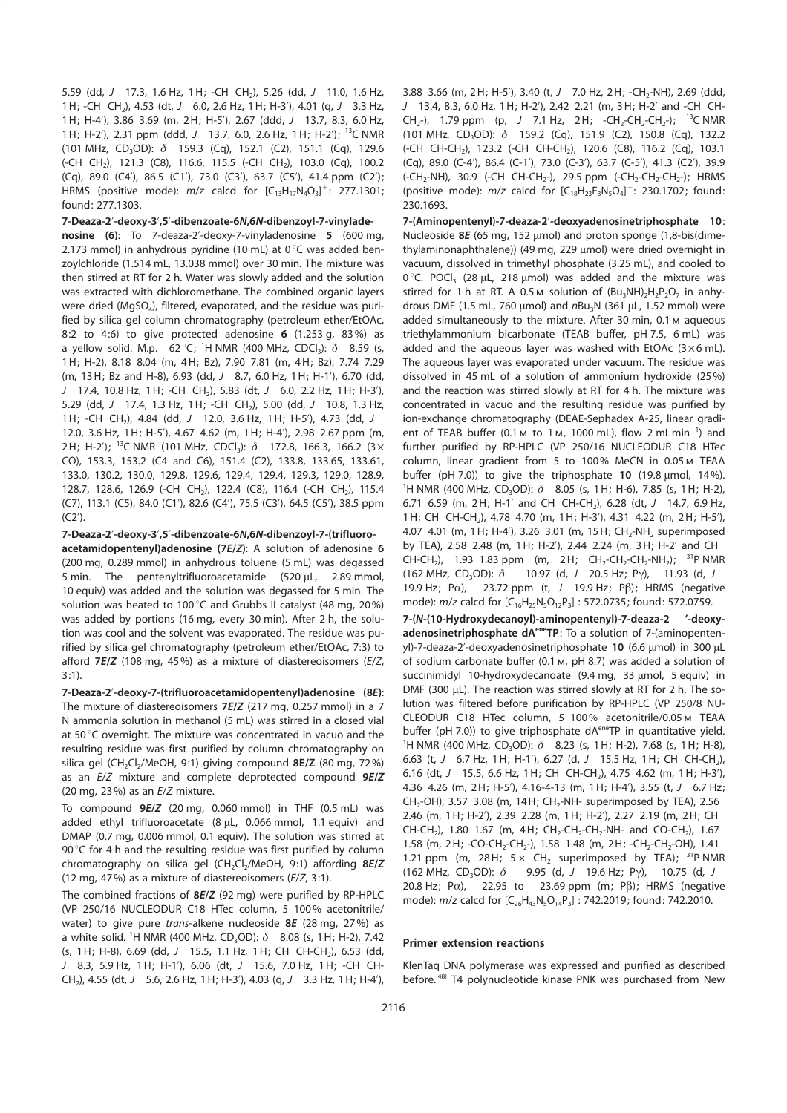5.59 (dd, J 17.3, 1.6 Hz, 1H; -CH CH<sub>2</sub>), 5.26 (dd, J 11.0, 1.6 Hz, 1H; -CH CH<sub>2</sub>), 4.53 (dt, J 6.0, 2.6 Hz, 1H; H-3'), 4.01 (q, J 3.3 Hz, 1H; H-4'), 3.86 3.69 (m, 2H; H-5'), 2.67 (ddd, J 13.7, 8.3, 6.0 Hz, 1H; H-2'), 2.31 ppm (ddd, J 13.7, 6.0, 2.6 Hz, 1H; H-2'); <sup>13</sup>C NMR (101 MHz, CD<sub>3</sub>OD):  $\delta$  159.3 (Cq), 152.1 (C2), 151.1 (Cq), 129.6 (-CH CH<sub>2</sub>), 121.3 (C8), 116.6, 115.5 (-CH CH<sub>2</sub>), 103.0 (Cq), 100.2 (Cq), 89.0 (C4'), 86.5 (C1'), 73.0 (C3'), 63.7 (C5'), 41.4 ppm (C2'); HRMS (positive mode):  $m/z$  calcd for  $[C_{13}H_{17}N_4O_3]^+$ : 277.1301; found: 277.1303.

## 7-Deaza-2'-deoxy-3',5'-dibenzoate-6N,6N-dibenzoyl-7-vinylade-

nosine (6): To 7-deaza-2'-deoxy-7-vinyladenosine 5 (600 mg, 2.173 mmol) in anhydrous pyridine (10 mL) at  $0^{\circ}$ C was added benzoylchloride (1.514 mL, 13.038 mmol) over 30 min. The mixture was then stirred at RT for 2 h. Water was slowly added and the solution was extracted with dichloromethane. The combined organic layers were dried (MgSO<sub>4</sub>), filtered, evaporated, and the residue was purified by silica gel column chromatography (petroleum ether/EtOAc, 8:2 to 4:6) to give protected adenosine 6 (1.253 g, 83%) as a yellow solid. M.p.  $62^{\circ}$ C; <sup>1</sup>H NMR (400 MHz, CDCl<sub>3</sub>):  $\delta$  8.59 (s, 1H; H-2), 8.18 8.04 (m, 4H; Bz), 7.90 7.81 (m, 4H; Bz), 7.74 7.29 (m, 13H; Bz and H-8), 6.93 (dd, J 8.7, 6.0 Hz, 1H; H-1'), 6.70 (dd, J 17.4, 10.8 Hz, 1H; -CH CH<sub>2</sub>), 5.83 (dt, J 6.0, 2.2 Hz, 1H; H-3'), 5.29 (dd, J 17.4, 1.3 Hz, 1H; -CH CH<sub>2</sub>), 5.00 (dd, J 10.8, 1.3 Hz, 1H; -CH CH<sub>2</sub>), 4.84 (dd, J 12.0, 3.6 Hz, 1H; H-5'), 4.73 (dd, J 12.0, 3.6 Hz, 1H; H-5'), 4.67 4.62 (m, 1H; H-4'), 2.98 2.67 ppm (m, 2H; H-2'); <sup>13</sup>C NMR (101 MHz, CDCl<sub>3</sub>):  $\delta$  172.8, 166.3, 166.2 (3× CO), 153.3, 153.2 (C4 and C6), 151.4 (C2), 133.8, 133.65, 133.61, 133.0, 130.2, 130.0, 129.8, 129.6, 129.4, 129.4, 129.3, 129.0, 128.9, 128.7, 128.6, 126.9 (-CH CH<sub>2</sub>), 122.4 (C8), 116.4 (-CH CH<sub>2</sub>), 115.4 (C7), 113.1 (C5), 84.0 (C1'), 82.6 (C4'), 75.5 (C3'), 64.5 (C5'), 38.5 ppm (C2').

#### 7-Deaza-2'-deoxy-3',5'-dibenzoate-6N,6N-dibenzoyl-7-(trifluoro-

acetamidopentenyl)adenosine (7E/Z): A solution of adenosine 6 (200 mg, 0.289 mmol) in anhydrous toluene (5 mL) was degassed 5 min. The pentenyltrifluoroacetamide  $(520 \mu L, 2.89 \text{ mmol},$ 10 equiv) was added and the solution was degassed for 5 min. The solution was heated to 100 $^{\circ}$ C and Grubbs II catalyst (48 mg, 20%) was added by portions (16 mg, every 30 min). After 2 h, the solution was cool and the solvent was evaporated. The residue was purified by silica gel chromatography (petroleum ether/EtOAc, 7:3) to afford  $7E/Z$  (108 mg, 45%) as a mixture of diastereoisomers ( $E/Z$ , 3:1).

7-Deaza-2'-deoxy-7-(trifluoroacetamidopentenyl)adenosine (8E): The mixture of diastereoisomers 7E/Z (217 mg, 0.257 mmol) in a 7 N ammonia solution in methanol (5 mL) was stirred in a closed vial at 50 $\degree$ C overnight. The mixture was concentrated in vacuo and the resulting residue was first purified by column chromatography on silica gel (CH<sub>2</sub>Cl<sub>2</sub>/MeOH, 9:1) giving compound  $8E/Z$  (80 mg, 72%) as an E/Z mixture and complete deprotected compound 9E/Z (20 mg, 23%) as an  $E/Z$  mixture.

To compound 9E/Z (20 mg, 0.060 mmol) in THF (0.5 mL) was added ethyl trifluoroacetate  $(8 \mu L, 0.066 \text{ mmol}, 1.1 \text{equiv})$  and DMAP (0.7 mg, 0.006 mmol, 0.1 equiv). The solution was stirred at 90 $\degree$ C for 4 h and the resulting residue was first purified by column chromatography on silica gel  $(CH_2Cl_2/MeOH, 9:1)$  affording  $8E/Z$ (12 mg, 47%) as a mixture of diastereoisomers (E/Z, 3:1).

The combined fractions of 8E/Z (92 mg) were purified by RP-HPLC (VP 250/16 NUCLEODUR C18 HTec column, 5 100% acetonitrile/ water) to give pure *trans*-alkene nucleoside **8E** (28 mg, 27%) as a white solid. <sup>1</sup>H NMR (400 MHz, CD<sub>3</sub>OD):  $\delta$  8.08 (s, 1H; H-2), 7.42 (s, 1H; H-8), 6.69 (dd, J 15.5, 1.1 Hz, 1H; CH CH-CH<sub>2</sub>), 6.53 (dd, J 8.3, 5.9 Hz, 1H; H-1'), 6.06 (dt, J 15.6, 7.0 Hz, 1H; -CH CH-CH2), 4.55 (dt, J 5.6, 2.6 Hz, 1H; H-3'), 4.03 (q, J 3.3 Hz, 1H; H-4'), 3.88 3.66 (m, 2H; H-5'), 3.40 (t, J 7.0 Hz, 2H; -CH<sub>2</sub>-NH), 2.69 (ddd, J 13.4, 8.3, 6.0 Hz, 1H; H-2'), 2.42 2.21 (m, 3H; H-2' and -CH CH-CH<sub>2</sub>-), 1.79 ppm (p, J 7.1 Hz, 2H; -CH<sub>2</sub>-CH<sub>2</sub>-CH<sub>2</sub>-); <sup>13</sup>C NMR (101 MHz, CD<sub>3</sub>OD):  $\delta$  159.2 (Cq), 151.9 (C2), 150.8 (Cq), 132.2 (-CH CH-CH<sub>2</sub>), 123.2 (-CH CH-CH<sub>2</sub>), 120.6 (C8), 116.2 (Cq), 103.1 (Cq), 89.0 (C-4'), 86.4 (C-1'), 73.0 (C-3'), 63.7 (C-5'), 41.3 (C2'), 39.9  $(-CH<sub>2</sub>-NH)$ , 30.9  $(-CH CH-CH<sub>2</sub>-)$ , 29.5 ppm  $(-CH<sub>2</sub>-CH<sub>2</sub>-CH<sub>2</sub>-)$ ; HRMS (positive mode):  $m/z$  calcd for  $[C_{18}H_{23}F_{3}N_5O_4]^+$ : 230.1702; found: 230.1693.

7-(Aminopentenyl)-7-deaza-2'-deoxyadenosinetriphosphate 10: Nucleoside 8E (65 mg, 152  $\mu$ mol) and proton sponge (1,8-bis(dimethylaminonaphthalene)) (49 mg, 229 µmol) were dried overnight in vacuum, dissolved in trimethyl phosphate (3.25 mL), and cooled to 0 $\degree$ C. POCl<sub>3</sub> (28 µL, 218 µmol) was added and the mixture was stirred for 1 h at RT. A 0.5 m solution of  $(Bu_3NH)_2H_2P_2O_7$  in anhydrous DMF (1.5 mL, 760 µmol) and  $nBu<sub>3</sub>N$  (361 µL, 1.52 mmol) were added simultaneously to the mixture. After 30 min, 0.1 m aqueous triethylammonium bicarbonate (TEAB buffer, pH 7.5, 6 mL) was added and the aqueous layer was washed with EtOAc  $(3 \times 6 \text{ mL})$ . The aqueous layer was evaporated under vacuum. The residue was dissolved in 45 mL of a solution of ammonium hydroxide (25%) and the reaction was stirred slowly at RT for 4 h. The mixture was concentrated in vacuo and the resulting residue was purified by ion-exchange chromatography (DEAE-Sephadex A-25, linear gradient of TEAB buffer (0.1 m to 1 m, 1000 mL), flow 2 mLmin<sup>1</sup>) and further purified by RP-HPLC (VP 250/16 NUCLEODUR C18 HTec column, linear gradient from 5 to 100% MeCN in 0.05m TEAA buffer (pH 7.0)) to give the triphosphate 10 (19.8  $\mu$ mol, 14%). <sup>1</sup>H NMR (400 MHz, CD<sub>3</sub>OD):  $\delta$  8.05 (s, 1H; H-6), 7.85 (s, 1H; H-2), 6.71 6.59 (m, 2H; H-1' and CH CH-CH<sub>2</sub>), 6.28 (dt, J 14.7, 6.9 Hz, 1H; CH CH-CH<sub>2</sub>), 4.78 4.70 (m, 1H; H-3'), 4.31 4.22 (m, 2H; H-5'), 4.07 4.01 (m, 1H; H-4'), 3.26 3.01 (m, 15H; CH<sub>2</sub>-NH<sub>2</sub> superimposed by TEA), 2.58 2.48 (m, 1H; H-2'), 2.44 2.24 (m, 3H; H-2' and CH CH-CH<sub>2</sub>), 1.93 1.83 ppm (m, 2H; CH<sub>2</sub>-CH<sub>2</sub>-CH<sub>2</sub>-NH<sub>2</sub>); <sup>31</sup>P NMR (162 MHz, CD<sub>3</sub>OD):  $\delta$  10.97 (d, J 20.5 Hz; P<sub>Y</sub>), 11.93 (d, J 19.9 Hz; P $\alpha$ ), 23.72 ppm (t, J 19.9 Hz; P $\beta$ ); HRMS (negative mode):  $m/z$  calcd for  $[C_{16}H_{25}N_5O_{12}P_3]$ : 572.0735; found: 572.0759.

7-(N-(10-Hydroxydecanoyl)-aminopentenyl)-7-deaza-2 '-deoxyadenosinetriphosphate dA<sup>ene</sup>TP: To a solution of 7-(aminopentenyl)-7-deaza-2'-deoxyadenosinetriphosphate 10 (6.6 µmol) in 300 µL of sodium carbonate buffer (0.1m, pH 8.7) was added a solution of succinimidyl 10-hydroxydecanoate (9.4 mg, 33 µmol, 5 equiv) in DMF (300 uL). The reaction was stirred slowly at RT for 2 h. The solution was filtered before purification by RP-HPLC (VP 250/8 NU-CLEODUR C18 HTec column, 5 100% acetonitrile/0.05m TEAA buffer (pH 7.0)) to give triphosphate dA<sup>ene</sup>TP in quantitative yield. <sup>1</sup>H NMR (400 MHz, CD<sub>3</sub>OD):  $\delta$  8.23 (s, 1H; H-2), 7.68 (s, 1H; H-8), 6.63 (t, J 6.7 Hz, 1H; H-1'), 6.27 (d, J 15.5 Hz, 1H; CH CH-CH<sub>2</sub>), 6.16 (dt, J 15.5, 6.6 Hz, 1H; CH CH-CH<sub>2</sub>), 4.75 4.62 (m, 1H; H-3'), 4.36 4.26 (m, 2H; H-5'), 4.16-4-13 (m, 1H; H-4'), 3.55 (t, J 6.7 Hz;  $CH_2-OH$ ), 3.57 3.08 (m, 14H;  $CH_2-NH$ - superimposed by TEA), 2.56 2.46 (m, 1H; H-2'), 2.39 2.28 (m, 1H; H-2'), 2.27 2.19 (m, 2H; CH CH-CH<sub>2</sub>), 1.80 1.67 (m, 4H; CH<sub>2</sub>-CH<sub>2</sub>-CH<sub>2</sub>-NH- and CO-CH<sub>2</sub>), 1.67 1.58 (m, 2H; -CO-CH<sub>2</sub>-CH<sub>2</sub>-), 1.58 1.48 (m, 2H; -CH<sub>2</sub>-CH<sub>2</sub>-OH), 1.41 1.21 ppm (m, 28H;  $5 \times$  CH<sub>2</sub> superimposed by TEA); <sup>31</sup>P NMR (162 MHz, CD<sub>3</sub>OD):  $\delta$  9.95 (d, J 19.6 Hz; P $\gamma$ ), 10.75 (d, J 20.8 Hz; P $\alpha$ ), 22.95 to 23.69 ppm (m; P $\beta$ ); HRMS (negative mode):  $m/z$  calcd for  $[C_{26}H_{43}N_5O_{14}P_3]$ : 742.2019; found: 742.2010.

#### Primer extension reactions

KlenTaq DNA polymerase was expressed and purified as described before.<sup>[48]</sup> T4 polynucleotide kinase PNK was purchased from New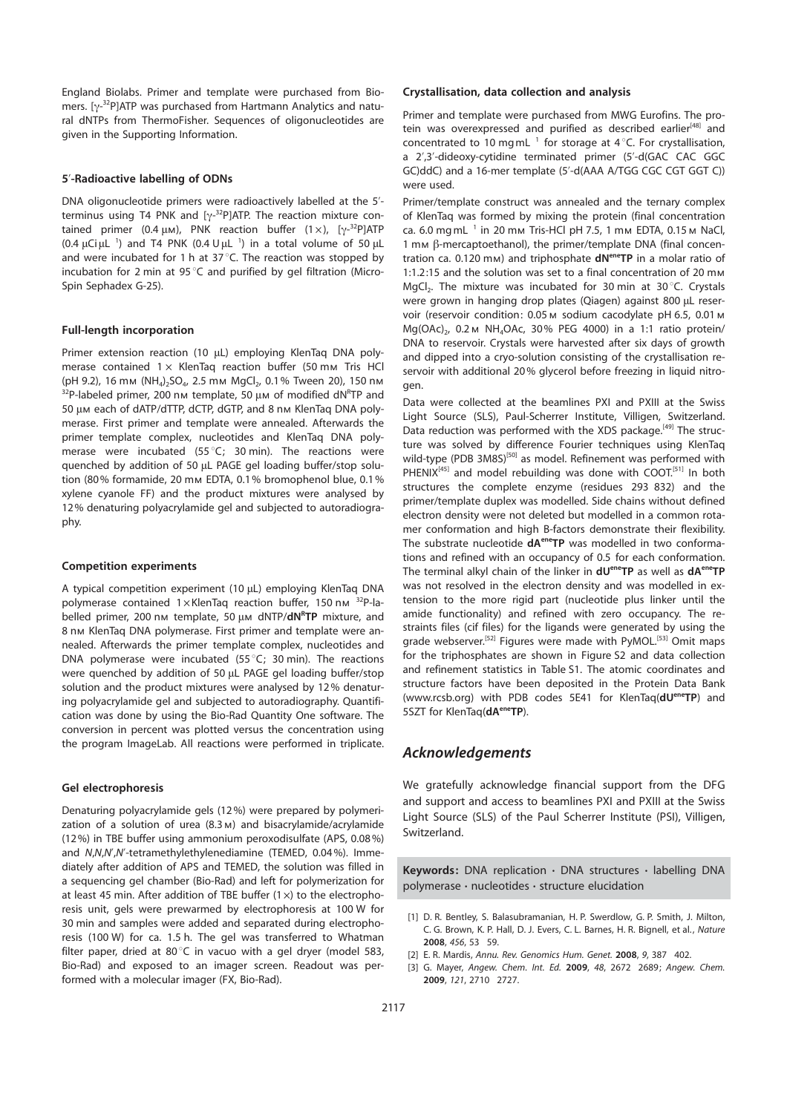England Biolabs. Primer and template were purchased from Biomers. [y<sup>\_32</sup>P]ATP was purchased from Hartmann Analytics and natu-<br>ral dNTPs from ThermoEisher, Sequences of oligonucleotides are ral dNTPs from ThermoFisher. Sequences of oligonucleotides are given in the Supporting Information.

#### 5'-Radioactive labelling of ODNs

DNA oligonucleotide primers were radioactively labelled at the 5' terminus using T4 PNK and [y-<sup>32</sup>P]ATP. The reaction mixture con-<br>tained primer (0.4 uM). PNK reaction buffer (1 ×). [w<sup>32</sup>P1ATP tained primer (0.4  $\mu$ m), PNK reaction buffer (1 ×), [ $\gamma$ <sup>-32</sup>P]ATP<br>(0.4 uGiul <sup>1</sup>) and T4 PNK (0.4 Uul <sup>1</sup>) in a total volume of 50 ul  $(0.4 \mu\text{C} \mu\text{L}^{-1})$  and T4 PNK  $(0.4 \text{U} \mu\text{L}^{-1})$  in a total volume of 50  $\mu\text{L}$ <br>and were incubated for 1 b at 37 °C. The reaction was stopped by and were incubated for 1 h at 37 $^{\circ}$ C. The reaction was stopped by incubation for 2 min at 95 $^{\circ}$ C and purified by gel filtration (Micro-Spin Sephadex G-25).

#### Full-length incorporation

Primer extension reaction (10 µL) employing KlenTag DNA polymerase contained  $1 \times$  KlenTaq reaction buffer (50 mm Tris HCl (pH 9.2), 16 mм (NH<sub>4</sub>)<sub>2</sub>SO<sub>4</sub>, 2.5 mм MgCl<sub>2</sub>, 0.1% Tween 20), 150 nм  $\frac{32P-1}{P}$ abeled primer, 200 nm template, 50  $\mu$ m of modified dN<sup>R</sup>TP and<br>50 um each of dATP/dTTP dCTP dGTP and 8 nm KlenTag DNA poly-50 μm each of dATP/dTTP, dCTP, dGTP, and 8 nm KlenTaq DNA polymerase. First primer and template were annealed. Afterwards the primer template complex, nucleotides and KlenTaq DNA polymerase were incubated (55 $^{\circ}$ C; 30 min). The reactions were quenched by addition of 50 µL PAGE gel loading buffer/stop solution (80% formamide, 20 mm EDTA, 0.1% bromophenol blue, 0.1% xylene cyanole FF) and the product mixtures were analysed by 12% denaturing polyacrylamide gel and subjected to autoradiography.

#### Competition experiments

A typical competition experiment (10 µL) employing KlenTaq DNA polymerase contained  $1 \times$ KlenTaq reaction buffer, 150 nm  $32P$ -labelled primer, 200 nm template, 50 μm dNTP/**dN<sup>R</sup>TP** mixture, and<br>8 nm KlenTag DNA polymerase First primer and template were and 8 nm KlenTaq DNA polymerase. First primer and template were annealed. Afterwards the primer template complex, nucleotides and DNA polymerase were incubated (55 $^{\circ}$ C; 30 min). The reactions were quenched by addition of 50 µL PAGE gel loading buffer/stop solution and the product mixtures were analysed by 12% denaturing polyacrylamide gel and subjected to autoradiography. Quantification was done by using the Bio-Rad Quantity One software. The conversion in percent was plotted versus the concentration using the program ImageLab. All reactions were performed in triplicate.

#### Gel electrophoresis

Denaturing polyacrylamide gels (12%) were prepared by polymerization of a solution of urea (8.3m) and bisacrylamide/acrylamide (12%) in TBE buffer using ammonium peroxodisulfate (APS, 0.08%) and N,N,N',N'-tetramethylethylenediamine (TEMED, 0.04%). Immediately after addition of APS and TEMED, the solution was filled in a sequencing gel chamber (Bio-Rad) and left for polymerization for at least 45 min. After addition of TBE buffer  $(1 \times)$  to the electrophoresis unit, gels were prewarmed by electrophoresis at 100 W for 30 min and samples were added and separated during electrophoresis (100 W) for ca. 1.5 h. The gel was transferred to Whatman filter paper, dried at 80 $^{\circ}$ C in vacuo with a gel dryer (model 583, Bio-Rad) and exposed to an imager screen. Readout was performed with a molecular imager (FX, Bio-Rad).

#### Crystallisation, data collection and analysis

Primer and template were purchased from MWG Eurofins. The protein was overexpressed and purified as described earlier<sup>[48]</sup> and concentrated to 10 mgmL  $<sup>1</sup>$  for storage at 4 $<sup>o</sup>C$ . For crystallisation,</sup></sup> a 2',3'-dideoxy-cytidine terminated primer (5'-d(GAC CAC GGC GC)ddC) and a 16-mer template (5'-d(AAA A/TGG CGC CGT GGT C)) were used.

Primer/template construct was annealed and the ternary complex of KlenTaq was formed by mixing the protein (final concentration ca. 6.0 mgmL  $^{-1}$  in 20 mm Tris-HCl pH 7.5, 1 mm EDTA, 0.15 m NaCl, 1 mm β-mercaptoethanol), the primer/template DNA (final concentration ca. 0.120 mm) and triphosphate  $dN^{ener}TP$  in a molar ratio of 1:1.2:15 and the solution was set to a final concentration of 20 mm MgCl. The mixture was incubated for 30 min at  $30\degree$ C. Crystals were grown in hanging drop plates (Qiagen) against 800 uL reservoir (reservoir condition: 0.05 м sodium cacodylate pH 6.5, 0.01 м  $Mq(OAc)_{2}$ , 0.2 m NH<sub>4</sub>OAc, 30% PEG 4000) in a 1:1 ratio protein/ DNA to reservoir. Crystals were harvested after six days of growth and dipped into a cryo-solution consisting of the crystallisation reservoir with additional 20% glycerol before freezing in liquid nitrogen.

Data were collected at the beamlines PXI and PXIII at the Swiss Light Source (SLS), Paul-Scherrer Institute, Villigen, Switzerland. Data reduction was performed with the XDS package.<sup>[49]</sup> The structure was solved by difference Fourier techniques using KlenTaq wild-type (PDB 3M8S)<sup>[50]</sup> as model. Refinement was performed with PHENIX<sup>[45]</sup> and model rebuilding was done with COOT.<sup>[51]</sup> In both structures the complete enzyme (residues 293 832) and the primer/template duplex was modelled. Side chains without defined electron density were not deleted but modelled in a common rotamer conformation and high B-factors demonstrate their flexibility. The substrate nucleotide  $dA^{en}$ <sup>ere</sup>TP was modelled in two conformations and refined with an occupancy of 0.5 for each conformation. The terminal alkyl chain of the linker in  $dU^{ener}TP$  as well as  $dA^{ener}TP$ was not resolved in the electron density and was modelled in extension to the more rigid part (nucleotide plus linker until the amide functionality) and refined with zero occupancy. The restraints files (cif files) for the ligands were generated by using the grade webserver.<sup>[52]</sup> Figures were made with PyMOL.<sup>[53]</sup> Omit maps for the triphosphates are shown in Figure S2 and data collection and refinement statistics in Table S1. The atomic coordinates and structure factors have been deposited in the Protein Data Bank (www.rcsb.org) with PDB codes 5E41 for KlenTaq(dU<sup>ene</sup>TP) and 5SZT for KlenTaq(dA<sup>ene</sup>TP).

# Acknowledgements

We gratefully acknowledge financial support from the DFG and support and access to beamlines PXI and PXIII at the Swiss Light Source (SLS) of the Paul Scherrer Institute (PSI), Villigen, Switzerland.

Keywords: DNA replication  $\cdot$  DNA structures  $\cdot$  labelling DNA polymerase · nucleotides · structure elucidation

- [1] D. R. Bentley, S. Balasubramanian, H. P. Swerdlow, G. P. Smith, J. Milton, C. G. Brown, K. P. Hall, D. J. Evers, C. L. Barnes, H. R. Bignell, et al., Nature 2008, 456, 53 59.
- [2] E. R. Mardis, Annu. Rev. Genomics Hum. Genet. 2008, 9, 387 402.
- [3] G. Mayer, Angew. Chem. Int. Ed. 2009, 48, 2672 2689; Angew. Chem. 2009, 121, 2710 2727.